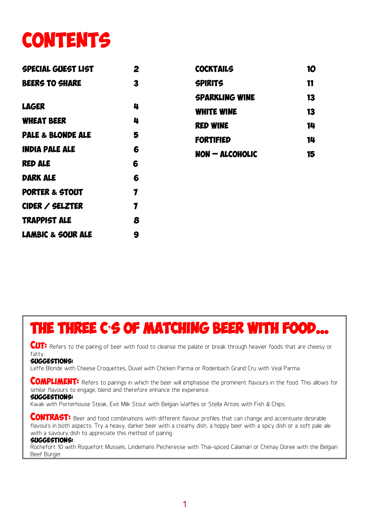## **CONTENTS**

| <b>SPECIAL GUEST LIST</b>    | 2           | <b>COCKTAILS</b>      | 10 |
|------------------------------|-------------|-----------------------|----|
| <b>BEERS TO SHARE</b>        | 3           | <b>SPIRITS</b>        | 11 |
|                              |             | <b>SPARKLING WINE</b> | 13 |
| <b>LAGER</b>                 | 4           | <b>WHITE WINE</b>     | 13 |
| <b>WHEAT BEER</b>            | 4           | <b>RED WINE</b>       | 14 |
| <b>PALE &amp; BLONDE ALE</b> | 5           | <b>FORTIFIED</b>      | 14 |
| <b>INDIA PALE ALE</b>        | 6           | $NON - ALCOHOLIC$     | 15 |
| <b>RED ALE</b>               | 6           |                       |    |
| <b>DARK ALE</b>              | 6           |                       |    |
| <b>PORTER &amp; STOUT</b>    | 7           |                       |    |
| CIDER / SELZTER              | $\mathbf 7$ |                       |    |
| <b>TRAPPIST ALE</b>          | 8           |                       |    |
| <b>LAMBIC &amp; SOUR ALE</b> | 9           |                       |    |

#### The three C**'**s of matching beer with food…

CUT: Refers to the pairing of beer with food to cleanse the palate or break through heavier foods that are cheesy or fatty.

#### Suggestions:

Leffe Blonde with Cheese Croquettes, Duvel with Chicken Parma or Rodenbach Grand Cru with Veal Parma

**COMPLIMENT:** Refers to pairings in which the beer will emphasise the prominent flavours in the food. This allows for similar flavours to engage, blend and therefore enhance the experience.

#### Suggestions:

Kwak with Porterhouse Steak, Exit Milk Stout with Belgian Waffles or Stella Artois with Fish & Chips.

**CONTRAST:** Beer and food combinations with different flavour profiles that can change and accentuate desirable flavours in both aspects. Try a heavy, darker beer with a creamy dish, a hoppy beer with a spicy dish or a soft pale ale with a savoury dish to appreciate this method of pairing.

#### Suggestions:

Rochefort 10 with Roquefort Mussels, Lindemans Pecheresse with Thai-spiced Calamari or Chimay Doree with the Belgian Beef Burger.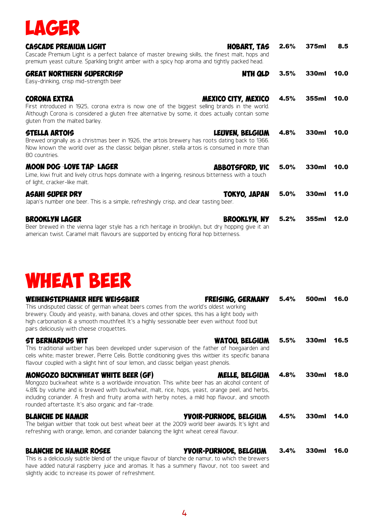

| <b>CASCADE PREMIUM LIGHT</b><br>Cascade Premium Light is a perfect balance of master brewing skills, the finest malt, hops and<br>premium yeast culture. Sparkling bright amber with a spicy hop aroma and tightly packed head.                          | HOBART, TAS            | 2.6% | 375ml | 8.5  |
|----------------------------------------------------------------------------------------------------------------------------------------------------------------------------------------------------------------------------------------------------------|------------------------|------|-------|------|
| <b>GREAT NORTHERN SUPERCRISP</b><br>Easy-drinking, crisp mid-strength beer                                                                                                                                                                               | NTH QLD                | 3.5% | 330ml | 10.0 |
| <b>CORONA EXTRA</b><br>First introduced in 1925, corona extra is now one of the biggest selling brands in the world.<br>Although Corona is considered a gluten free alternative by some, it does actually contain some<br>gluten from the malted barley. | MEXICO CITY, MEXICO    | 4.5% | 355ml | 10.0 |
| <b>STELLA ARTOIS</b><br>Brewed originally as a christmas beer in 1926, the artois brewery has roots dating back to 1366.<br>Now known the world over as the classic belgian pilsner, stella artois is consumed in more than<br>80 countries.             | LEUVEN, BELGIUM        | 4.8% | 330ml | 10.0 |
| MOON DOG LOVE TAP LAGER<br>Lime, kiwi fruit and lively citrus hops dominate with a lingering, resinous bitterness with a touch<br>of light, cracker-like malt.                                                                                           | <b>ABBOTSFORD, VIC</b> | 5.0% | 330ml | 10.0 |
| <b>ASAHI SUPER DRY</b><br>Japan's number one beer. This is a simple, refreshingly crisp, and clear tasting beer.                                                                                                                                         | TOKYO, JAPAN           | 5.0% | 330ml | 11.0 |
| <b>BROOKLYN LAGER</b><br>Beer brewed in the vienna lager style has a rich heritage in brooklyn, but dry hopping give it an<br>american twist. Caramel malt flavours are supported by enticing floral hop bitterness.                                     | <b>BROOKLYN, NY</b>    | 5.2% | 355ml | 12.0 |

### wheat beer

| <b>WEIHENSTEPHANER HEFE WEISSBIER</b><br><b>FREISING, GERMANY</b><br>This undisputed classic of german wheat beers comes from the world's oldest working<br>brewery. Cloudy and yeasty, with banana, cloves and other spices, this has a light body with<br>high carbonation & a smooth mouthfeel. It's a highly sessionable beer even without food but<br>pairs deliciously with cheese croquettes.                   | 5.4% | 500ml | 16.0   |
|------------------------------------------------------------------------------------------------------------------------------------------------------------------------------------------------------------------------------------------------------------------------------------------------------------------------------------------------------------------------------------------------------------------------|------|-------|--------|
| <b>ST BERNARDUS WIT</b><br>WATOU, BELGIUM<br>This traditional witbier has been developed under supervision of the father of hoegaarden and<br>celis white; master brewer, Pierre Celis. Bottle conditioning gives this witbier its specific banana<br>flavour coupled with a slight hint of sour lemon, and classic belgian yeast phenols.                                                                             | 5.5% | 330ml | 16.5   |
| <b>MONGOZO BUCKWHEAT WHITE BEER (GF)</b><br>MELLE, BELGIUM<br>Mongozo buckwheat white is a worldwide innovation. This white beer has an alcohol content of<br>4.8% by volume and is brewed with buckwheat, malt, rice, hops, yeast, orange peel, and herbs,<br>including coriander. A fresh and fruity aroma with herby notes, a mild hop flavour, and smooth<br>rounded aftertaste. It's also organic and fair-trade. | 4.8% | 330ml | 18.0   |
| <b>BLANCHE DE NAMUR</b><br>YVOIR-PURNODE, BELGIUM<br>The belgian witbier that took out best wheat beer at the 2009 world beer awards. It's light and<br>refreshing with orange, lemon, and coriander balancing the light wheat cereal flavour.                                                                                                                                                                         | 4.5% | 330ml | - 14.0 |
| <b>BLANCHE DE NAMUR ROSEE</b><br>YVOIR-PURNODE, BELGIUM<br>This is a deliciously subtle blend of the unique flavour of blanche de namur, to which the brewers<br>have added natural raspberry juice and aromas. It has a summery flavour, not too sweet and<br>slightly acidic to increase its power of refreshment.                                                                                                   | 3.4% | 330ml | 16.0   |

4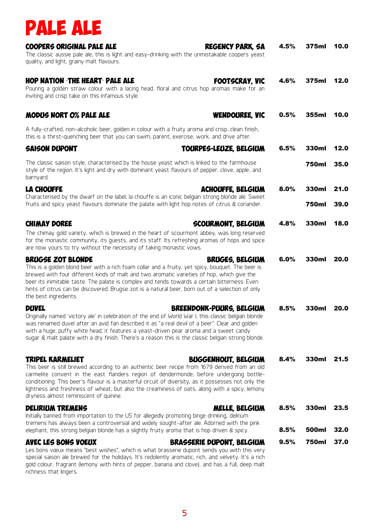

| COOPERS ORIGINAL PALE ALE<br><b>REGENCY PARK, SA</b><br>The classic aussie pale ale, this is light and easy-drinking with the unmistakable coopers yeast<br>quality, and light, grainy malt flavours.                                                                                                                                                                                                                                                                               | 4.5% | 375ml        | 10.0 |
|-------------------------------------------------------------------------------------------------------------------------------------------------------------------------------------------------------------------------------------------------------------------------------------------------------------------------------------------------------------------------------------------------------------------------------------------------------------------------------------|------|--------------|------|
| HOP NATION THE HEART PALE ALE<br><b>FOOTSCRAY, VIC</b><br>Pouring a golden straw colour with a lacing head, floral and citrus hop aromas make for an<br>inviting and crisp take on this infamous style.                                                                                                                                                                                                                                                                             | 4.6% | 375ml        | 12.0 |
| MODUS NORT O% PALE ALE<br><b>WENDOUREE, VIC</b>                                                                                                                                                                                                                                                                                                                                                                                                                                     | 0.5% | 355ml        | 10.0 |
| A fully-crafted, non-alcoholic beer, golden in colour with a fruity aroma and crisp, clean finish,<br>this is a thirst-quenching beer that you can swim, parent, exercise, work, and drive after.                                                                                                                                                                                                                                                                                   |      |              |      |
| <b>SAISON DUPONT</b><br>TOURPES-LEUZE, BELGIUM                                                                                                                                                                                                                                                                                                                                                                                                                                      | 6.5% | 330ml        | 12.0 |
| The classic saison style, characterised by the house yeast which is linked to the farmhouse<br>style of the region. It's light and dry with dominant yeast flavours of pepper, clove, apple, and<br>barnyard.                                                                                                                                                                                                                                                                       |      | 750ml        | 35.0 |
| <b>LA CHOUFFE</b><br><b>ACHOUFFE, BELGIUM</b>                                                                                                                                                                                                                                                                                                                                                                                                                                       | 8.0% | 330ml        | 21.0 |
| Characterised by the dwarf on the label, la chouffe is an iconic belgian strong blonde ale. Sweet<br>fruits and spicy yeast flavours dominate the palate with light hop notes of citrus & coriander.                                                                                                                                                                                                                                                                                |      | <b>750ml</b> | 39.0 |
| <b>CHIMAY DOREE</b><br><b>SCOURMONT, BELGIUM</b>                                                                                                                                                                                                                                                                                                                                                                                                                                    | 4.8% | 330ml        | 18.0 |
| The chimay gold variety, which is brewed in the heart of scourmont abbey, was long reserved<br>for the monastic community, its quests, and its staff. Its refreshing aromas of hops and spice<br>are now yours to try without the necessity of taking monastic vows.                                                                                                                                                                                                                |      |              |      |
| <b>BRUGSE ZOT BLONDE</b><br><b>BRUGES, BELGIUM</b><br>This is a golden blond beer with a rich foam collar and a fruity, yet spicy, bouquet. The beer is<br>brewed with four different kinds of malt and two aromatic varieties of hop, which give the<br>beer its inimitable taste. The palate is complex and tends towards a certain bitterness. Even<br>hints of citrus can be discovered. Brugse zot is a natural beer, born out of a selection of only<br>the best ingredients. | 6.0% | 330ml        | 20.0 |
| <b>DUVEL</b><br>BREENDONK-PUURS, BELGIUM<br>Originally named 'victory ale' in celebration of the end of World War I, this classic belgian blonde<br>was renamed duvel after an avid fan described it as "a real devil of a beer". Clear and golden<br>with a huge, puffy white head, it features a yeast-driven pear aroma and a sweet candy<br>sugar & malt palate with a dry finish. There's a reason this is the classic belgian strong blonde.                                  | 8.5% | 330ml        | 20.0 |
| TRIPEL KARMELIET<br><b>BUGGENHOUT, BELGIUM</b>                                                                                                                                                                                                                                                                                                                                                                                                                                      | 8.4% | 330ml        | 21.5 |
| This beer is still brewed according to an authentic beer recipe from 1679 derived from an old<br>carmelite convent in the east flanders region of dendermonde, before undergoing bottle-<br>conditioning. This beer's flavour is a masterful circuit of diversity, as it possesses not only the<br>lightness and freshness of wheat, but also the creaminess of oats, along with a spicy, lemony<br>dryness almost reminiscent of quinine.                                          |      |              |      |
| <b>DELIRIUM TREMENS</b><br>MELLE, BELGIUM<br>Initially banned from importation to the US for allegedly promoting binge drinking, delirium<br>tremens has always been a controversial and widely sought-after ale. Adorned with the pink                                                                                                                                                                                                                                             | 8.5% | 330ml        | 23.5 |
| elephant, this strong belgian blonde has a slightly fruity aroma that is hop driven & spicy.                                                                                                                                                                                                                                                                                                                                                                                        | 8.5% | 500ml        | 32.0 |
| <b>AVEC LES BONS VOEUX</b><br>BRASSERIE DUPONT, BELGIUM<br>Les bons vœux means "best wishes", which is what brasserie dupont sends you with this very<br>special saison ale brewed for the holidays. It's redolently aromatic, rich, and velvety. It's a rich<br>gold colour, fragrant (lemony with hints of pepper, banana and clove), and has a full, deep malt<br>richness that lingers.                                                                                         | 9.5% | 750ml        | 37.0 |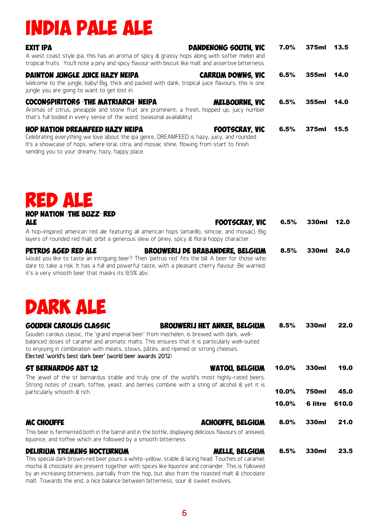## india pale ale

| <b>EXIT IPA</b><br>A west coast style ipa, this has an aroma of spicy & grassy hops along with softer melon and<br>tropical fruits. You'll note a piny and spicy flavour with biscuit like malt and assertive bitterness.                                                             | DANDENONG SOUTH, VIC     | 7.0% | 375ml 13.5 |      |
|---------------------------------------------------------------------------------------------------------------------------------------------------------------------------------------------------------------------------------------------------------------------------------------|--------------------------|------|------------|------|
| DAINTON JUNGLE JUICE HAZY NEIPA<br>Welcome to the jungle, baby! Big, thick and packed with dank, tropical juice flavours, this is one<br>jungle you are going to want to get lost in.                                                                                                 | <b>CARRUM DOWNS, VIC</b> | 6.5% | 355ml 14.0 |      |
| COCONSPIRITORS THE MATRIARCH NEIPA<br>Aromas of citrus, pineapple and stone fruit are prominent; a fresh, hopped up, juicy number<br>that's full bodied in every sense of the word. (seasonal availability)                                                                           | MELBOURNE, VIC           | 6.5% | 355ml      | 14.0 |
| <b>HOP NATION DREAMFEED HAZY NEIPA</b><br>Celebrating everything we love about the ipa genre, DREAMFEED is hazy, juicy, and rounded.<br>It's a showcase of hops, where loral, citra, and mosaic shine, flowing from start to finish<br>sending you to your dreamy, hazy, happy place. | <b>FOOTSCRAY, VIC</b>    | 6.5% | 375ml      | 15.5 |

red ale

| <b>HOP NATION THE BUZZ RED</b><br><b>ALE</b><br><b>FOOTSCRAY, VIC</b>                                                                                                                                                                                                                                                                                                                                                     | 6.5%  | 330ml          | 12.0  |
|---------------------------------------------------------------------------------------------------------------------------------------------------------------------------------------------------------------------------------------------------------------------------------------------------------------------------------------------------------------------------------------------------------------------------|-------|----------------|-------|
| A hop-inspired american red ale featuring all american hops (amarillo, simcoe, and mosaic). Big<br>layers of rounded red malt orbit a generous slew of piney, spicy & floral hoppy character.                                                                                                                                                                                                                             |       |                |       |
| PETRUS AGED RED ALE<br>BROUWERIJ DE BRABANDERE, BELGIUM<br>Would you like to taste an intriguing beer? Then 'petrus red' fits the bill. A beer for those who<br>dare to take a risk. It has a full and powerful taste, with a pleasant cherry flavour. Be warned:<br>it's a very smooth beer that masks its 8.5% abv.                                                                                                     | 8.5%  | 330ml          | 24.0  |
| <b>DARK ALE</b>                                                                                                                                                                                                                                                                                                                                                                                                           |       |                |       |
| <b>GOUDEN CAROLUS CLASSIC</b><br><b>BROUWERIJ HET ANKER, BELGIUM</b><br>Gouden carolus classic, the 'grand imperial beer' from mechelen, is brewed with dark, well-<br>balanced doses of caramel and aromatic malts. This ensures that it is particularly well-suited<br>to enjoying in combination with meats, stews, pâtés, and ripened or strong cheeses.<br>Elected 'world's best dark beer' (world beer awards 2012) | 8.5%  | 330ml          | 22.0  |
| <b>ST BERNARDUS ABT 12</b><br><b>WATOU, BELGIUM</b><br>The jewel of the st bernardus stable and truly one of the world's most highly-rated beers.                                                                                                                                                                                                                                                                         | 10.0% | 330ml          | 19.0  |
| Strong notes of cream, toffee, yeast, and berries combine with a sting of alcohol & yet it is<br>particularly smooth & rich.                                                                                                                                                                                                                                                                                              | 10.0% | <b>750ml</b>   | 45.0  |
|                                                                                                                                                                                                                                                                                                                                                                                                                           | 10.0% | <b>6 litre</b> | 610.0 |
| <b>MC CHOUFFE</b><br><b>ACHOUFFE, BELGIUM</b><br>This beer is fermented both in the barrel and in the bottle, displaying delicious flavours of aniseed,<br>liquorice, and toffee which are followed by a smooth bitterness.                                                                                                                                                                                               | 8.0%  | 330ml          | 21.0  |
| <b>DELIRIUM TREMENS NOCTURNUM</b><br>MELLE, BELGIUM<br>This special dark brown-red beer pours a white-yellow, stable & lacing head. Touches of caramel,<br>mocha & chocolate are present together with spices like liquorice and coriander. This is followed                                                                                                                                                              | 8.5%  | 330ml          | 23.5  |

by an increasing bitterness, partially from the hop, but also from the roasted malt & chocolate malt. Towards the end, a nice balance between bitterness, sour & sweet evolves.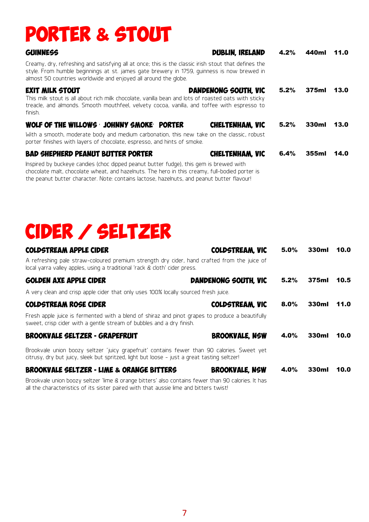## porter & stout

| GUINNESS                                                                                                                                                                                                                                                              | <b>DUBLIN, IRELAND</b> | 4.2% | 440ml | 11.0 |
|-----------------------------------------------------------------------------------------------------------------------------------------------------------------------------------------------------------------------------------------------------------------------|------------------------|------|-------|------|
| Creamy, dry, refreshing and satisfying all at once; this is the classic irish stout that defines the<br>style. From humble beginnings at st. james gate brewery in 1759, guinness is now brewed in<br>almost 50 countries worldwide and enjoyed all around the globe. |                        |      |       |      |
| <b>EXIT MILK STOUT</b><br>This milk stout is all about rich milk chocolate, vanilla bean and lots of roasted oats with sticky<br>treacle, and almonds. Smooth mouthfeel, velvety cocoa, vanilla, and toffee with espresso to<br>finish.                               | DANDENONG SOUTH, VIC   | 5.2% | 375ml | 13.0 |
| WOLF OF THE WILLOWS JOHNNY SMOKE PORTER<br>With a smooth, moderate body and medium carbonation, this new take on the classic, robust<br>porter finishes with layers of chocolate, espresso, and hints of smoke.                                                       | CHELTENHAM. VIC        | 5.2% | 330ml | 13.0 |
| <b>BAD SHEPHERD PEANUT BUTTER PORTER</b>                                                                                                                                                                                                                              | CHELTENHAM. VIC        | 6.4% | 355ml | 14.0 |

Inspired by buckeye candies (choc dipped peanut butter fudge), this gem is brewed with chocolate malt, chocolate wheat, and hazelnuts. The hero in this creamy, full-bodied porter is the peanut butter character. Note: contains lactose, hazelnuts, and peanut butter flavour!

all the characteristics of its sister paired with that aussie lime and bitters twist!

# cider / seltzer

| <b>COLDSTREAM APPLE CIDER</b>                                                                                                                                                              | <b>COLDSTREAM. VIC</b> | 5.0%    | 330ml | 10.0 |
|--------------------------------------------------------------------------------------------------------------------------------------------------------------------------------------------|------------------------|---------|-------|------|
| A refreshing pale straw-coloured premium strength dry cider, hand crafted from the juice of<br>local yarra valley apples, using a traditional 'rack & cloth' cider press.                  |                        |         |       |      |
| <b>GOLDEN AXE APPLE CIDER</b>                                                                                                                                                              | DANDENONG SOUTH. VIC   | 5.2%    | 375ml | 10.5 |
| A very clean and crisp apple cider that only uses 100% locally sourced fresh juice.                                                                                                        |                        |         |       |      |
| <b>COLDSTREAM ROSE CIDER</b>                                                                                                                                                               | <b>COLDSTREAM. VIC</b> | $8.0\%$ | 330ml | 11.0 |
| Fresh apple juice is fermented with a blend of shiraz and pinot grapes to produce a beautifully<br>sweet, crisp cider with a gentle stream of bubbles and a dry finish.                    |                        |         |       |      |
| <b>BROOKVALE SELTZER - GRAPEFRUIT</b>                                                                                                                                                      | <b>BROOKVALE, NSW</b>  | 4.0%    | 330ml | 10.0 |
| Brookvale union boozy seltzer 'juicy grapefruit' contains fewer than 90 calories. Sweet yet<br>citrusy, dry but juicy, sleek but spritzed, light but loose - just a great tasting seltzer! |                        |         |       |      |
| <b>BROOKVALE SELTZER - LIME &amp; ORANGE BITTERS</b>                                                                                                                                       | <b>BROOKVALE, NSW</b>  | 4.0%    | 330ml | 10.0 |
| Brookvale union boozy seltzer 'lime & orange bitters' also contains fewer than 90 calories. It has                                                                                         |                        |         |       |      |

7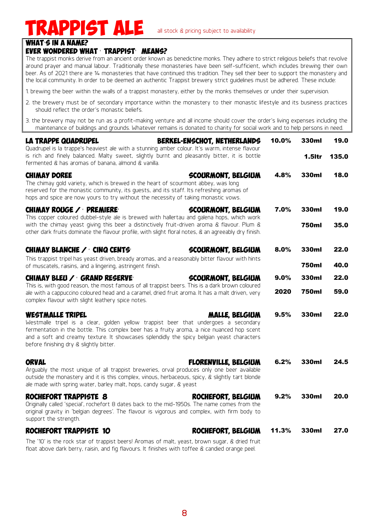### **APPIST ALE** all stock & pricing subject to availability

#### WHAT S IN A NAME?

#### Ever wondered what ' trappist' means?

The trappist monks derive from an ancient order known as benedictine monks. They adhere to strict religious beliefs that revolve around prayer and manual labour. Traditionally these monasteries have been self-sufficient, which includes brewing their own beer. As of 2021 there are 14 monasteries that have continued this tradition. They sell their beer to support the monastery and the local community. In order to be deemed an authentic Trappist brewery strict guidelines must be adhered. These include:

- 1. brewing the beer within the walls of a trappist monastery, either by the monks themselves or under their supervision.
- 2. the brewery must be of secondary importance within the monastery to their monastic lifestyle and its business practices should reflect the order's monastic beliefs.
- 3. the brewery may not be run as a profit-making venture and all income should cover the order's living expenses including the maintenance of buildings and grounds. Whatever remains is donated to charity for social work and to help persons in need.

| <b>LA TRAPPE QUADRUPEL</b><br>Quadrupel is la trappe's heaviest ale with a stunning amber colour. It's warm, intense flavour                                                                                                                                                                                                                         | BERKEL-ENSCHOT, NETHERLANDS | 10.0% | 330ml        | 19.0  |
|------------------------------------------------------------------------------------------------------------------------------------------------------------------------------------------------------------------------------------------------------------------------------------------------------------------------------------------------------|-----------------------------|-------|--------------|-------|
| is rich and finely balanced. Malty sweet, slightly burnt and pleasantly bitter, it is bottle<br>fermented & has aromas of banana, almond & vanilla.                                                                                                                                                                                                  |                             |       | 1.5Itr       | 135.0 |
| <b>CHIMAY DOREE</b><br>The chimay gold variety, which is brewed in the heart of scourmont abbey, was long<br>reserved for the monastic community, its quests, and its staff. Its refreshing aromas of<br>hops and spice are now yours to try without the necessity of taking monastic vows.                                                          | <b>SCOURMONT, BELGIUM</b>   | 4.8%  | 330ml        | 18.0  |
| CHIMAY ROUGE / PREMIERE                                                                                                                                                                                                                                                                                                                              | <b>SCOURMONT, BELGIUM</b>   | 7.0%  | 330ml        | 19.0  |
| This copper coloured dubbel-style ale is brewed with hallertau and galena hops, which work<br>with the chimay yeast giving this beer a distinctively fruit-driven aroma & flavour. Plum &<br>other dark fruits dominate the flavour profile, with slight floral notes, & an agreeably dry finish.                                                    |                             |       | <b>750ml</b> | 35.0  |
| CHIMAY BLANCHE / CINQ CENTS                                                                                                                                                                                                                                                                                                                          | <b>SCOURMONT, BELGIUM</b>   | 8.0%  | 330ml        | 22.0  |
| This trappist tripel has yeast driven, bready aromas, and a reasonably bitter flavour with hints<br>of muscatels, raisins, and a lingering, astringent finish.                                                                                                                                                                                       |                             |       | <b>750ml</b> | 40.0  |
| CHIMAY BLEU / GRAND RESERVE                                                                                                                                                                                                                                                                                                                          | SCOURMONT, BELGIUM          | 9.0%  | 330ml        | 22.0  |
| This is, with good reason, the most famous of all trappist beers. This is a dark brown coloured<br>ale with a cappuccino coloured head and a caramel, dried fruit aroma. It has a malt driven, very<br>complex flavour with slight leathery spice notes.                                                                                             |                             | 2020  | <b>750ml</b> | 59.0  |
| <b>WESTMALLE TRIPEL</b><br>Westmalle tripel is a clear, golden yellow trappist beer that undergoes a secondary<br>fermentation in the bottle. This complex beer has a fruity aroma, a nice nuanced hop scent<br>and a soft and creamy texture. It showcases splendidly the spicy belgian yeast characters<br>before finishing dry & slightly bitter. | MALLE, BELGIUM              | 9.5%  | 330ml        | 22.0  |
| <b>ORVAL</b><br>Arguably the most unique of all trappist breweries, orval produces only one beer available<br>outside the monastery and it is this complex, vinous, herbaceous, spicy, & slightly tart blonde<br>ale made with spring water, barley malt, hops, candy sugar, & yeast                                                                 | <b>FLORENVILLE, BELGIUM</b> | 6.2%  | 330ml        | 24.5  |
| ROCHEFORT TRAPPISTE 8<br>Originally called 'special', rochefort 8 dates back to the mid-1950s. The name comes from the<br>original gravity in 'belgian degrees'. The flavour is vigorous and complex, with firm body to<br>support the strength.                                                                                                     | ROCHEFORT, BELGIUM          | 9.2%  | 330ml        | 20.0  |
| ROCHEFORT TRAPPISTE 10                                                                                                                                                                                                                                                                                                                               | ROCHEFORT, BELGIUM          | 11.3% | 330ml        | 27.0  |
| The MONITUDE and the of meeting hours Authorities of with the basic of the Monitor College of the diffusion                                                                                                                                                                                                                                          |                             |       |              |       |

The '10' is the rock star of trappist beers! Aromas of malt, yeast, brown sugar, & dried fruit float above dark berry, raisin, and fig flavours. It finishes with toffee & candied orange peel.